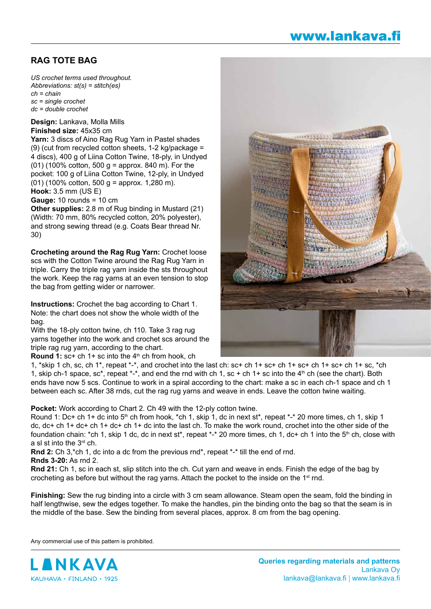## www.lankava.fi

## **RAG TOTE BAG**

*US crochet terms used throughout. Abbreviations: st(s) = stitch(es) ch = chain sc = single crochet dc = double crochet*

**Design:** Lankava, Molla Mills **Finished size:** 45x35 cm

**Yarn:** 3 discs of Aino Rag Rug Yarn in Pastel shades (9) (cut from recycled cotton sheets,  $1-2$  kg/package = 4 discs), 400 g of Liina Cotton Twine, 18-ply, in Undyed (01) (100% cotton, 500 g = approx. 840 m). For the pocket: 100 g of Liina Cotton Twine, 12-ply, in Undyed (01) (100% cotton, 500 g = approx. 1,280 m). **Hook:** 3.5 mm (US E) **Gauge:** 10 rounds = 10 cm

**Other supplies:** 2.8 m of Rug binding in Mustard (21) (Width: 70 mm, 80% recycled cotton, 20% polyester), and strong sewing thread (e.g. Coats Bear thread Nr. 30)

**Crocheting around the Rag Rug Yarn:** Crochet loose scs with the Cotton Twine around the Rag Rug Yarn in triple. Carry the triple rag yarn inside the sts throughout the work. Keep the rag yarns at an even tension to stop the bag from getting wider or narrower.

**Instructions:** Crochet the bag according to Chart 1. Note: the chart does not show the whole width of the bag.

With the 18-ply cotton twine, ch 110. Take 3 rag rug yarns together into the work and crochet scs around the triple rag rug yarn, according to the chart.

**Round 1:** sc+ ch 1+ sc into the 4<sup>th</sup> ch from hook, ch

1, \*skip 1 ch, sc, ch 1\*, repeat \*-\*, and crochet into the last ch: sc+ ch 1+ sc+ ch 1+ sc+ ch 1+ sc+ ch 1+ sc, \*ch 1, skip ch-1 space, sc\*, repeat \*-\*, and end the rnd with ch 1, sc + ch 1+ sc into the  $4<sup>th</sup>$  ch (see the chart). Both ends have now 5 scs. Continue to work in a spiral according to the chart: make a sc in each ch-1 space and ch 1 between each sc. After 38 rnds, cut the rag rug yarns and weave in ends. Leave the cotton twine waiting.

**Pocket:** Work according to Chart 2. Ch 49 with the 12-ply cotton twine.

Round 1: Dc+ ch 1+ dc into 5<sup>th</sup> ch from hook, \*ch 1, skip 1, dc in next st\*, repeat \*-\* 20 more times, ch 1, skip 1 dc, dc+ ch 1+ dc+ ch 1+ dc+ ch 1+ dc into the last ch. To make the work round, crochet into the other side of the foundation chain: \*ch 1, skip 1 dc, dc in next st\*, repeat \*-\* 20 more times, ch 1, dc+ ch 1 into the  $5<sup>th</sup>$  ch, close with a sl st into the 3rd ch.

**Rnd 2:** Ch 3,\*ch 1, dc into a dc from the previous rnd\*, repeat \*-\* till the end of rnd.

**Rnds 3-20:** As rnd 2.

**Rnd 21:** Ch 1, sc in each st, slip stitch into the ch. Cut yarn and weave in ends. Finish the edge of the bag by crocheting as before but without the rag yarns. Attach the pocket to the inside on the  $1<sup>st</sup>$  rnd.

**Finishing:** Sew the rug binding into a circle with 3 cm seam allowance. Steam open the seam, fold the binding in half lengthwise, sew the edges together. To make the handles, pin the binding onto the bag so that the seam is in the middle of the base. Sew the binding from several places, approx. 8 cm from the bag opening.

Any commercial use of this pattern is prohibited.